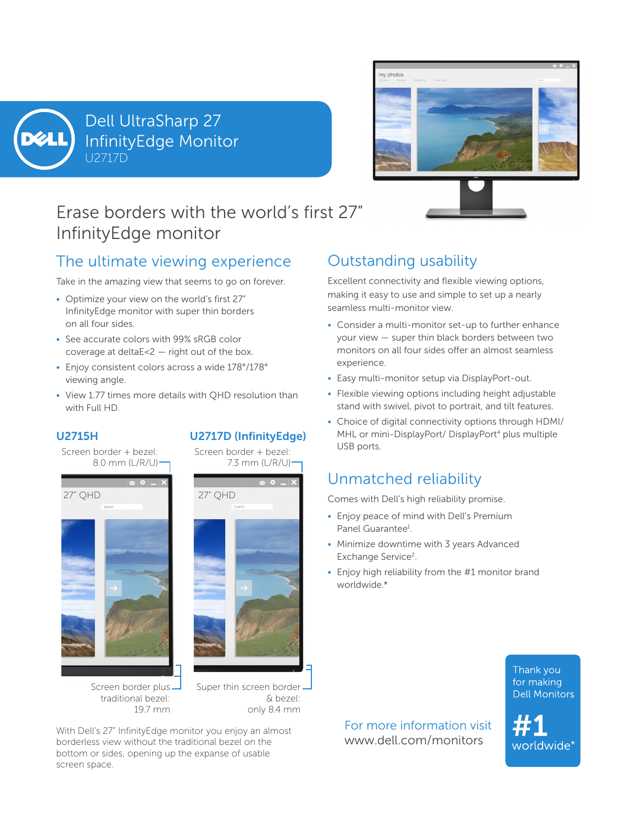

U2717D Dell UltraSharp 27 InfinityEdge Monitor



# Erase borders with the world's first 27" InfinityEdge monitor

### The ultimate viewing experience

Take in the amazing view that seems to go on forever.

- Optimize your view on the world's first 27" InfinityEdge monitor with super thin borders on all four sides.
- See accurate colors with 99% sRGB color coverage at deltaE<2 — right out of the box.
- Enjoy consistent colors across a wide 178°/178° viewing angle.
- View 1.77 times more details with QHD resolution than with Full HD.

### U2715H

Screen border + bezel: 8.0 mm (L/R/U)





Screen border + bezel:

U2717D (InfinityEdge)

7.3 mm (L/R/U)

Screen border plus traditional bezel: 19.7 mm

Super thin screen border-& bezel: only 8.4 mm

With Dell's 27" InfinityEdge monitor you enjoy an almost and the traditional orientation wise borderless view without the traditional bezel on the **www.dell.com/monitors** bottom or sides, opening up the expanse of usable screen space.

## Outstanding usability

Excellent connectivity and flexible viewing options, making it easy to use and simple to set up a nearly seamless multi-monitor view.

- Consider a multi-monitor set-up to further enhance your view — super thin black borders between two monitors on all four sides offer an almost seamless experience.
- Easy multi-monitor setup via DisplayPort-out.
- Flexible viewing options including height adjustable stand with swivel, pivot to portrait, and tilt features.
- Choice of digital connectivity options through HDMI/ MHL or mini-DisplayPort/ DisplayPort<sup>4</sup> plus multiple USB ports.

### Unmatched reliability

Comes with Dell's high reliability promise.

- Enjoy peace of mind with Dell's Premium Panel Guarantee<sup>1</sup>.
- Minimize downtime with 3 years Advanced Exchange Service<sup>2</sup>.
- Enjoy high reliability from the #1 monitor brand worldwide.\*

Thank you for making **Dell Monitors** 

For more information visit